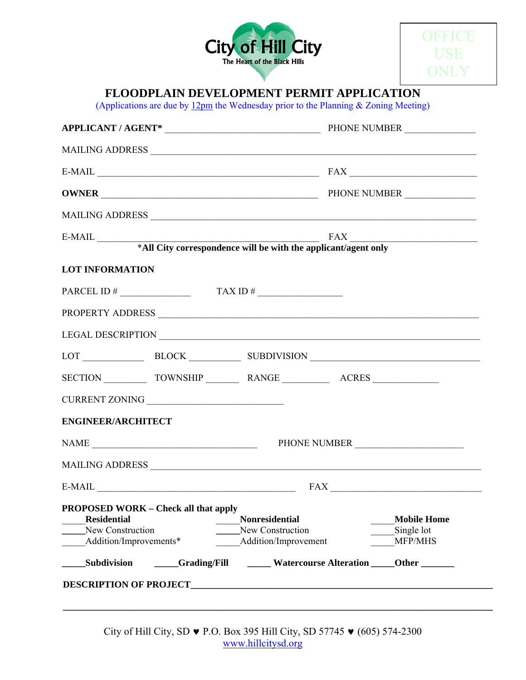



# **FLOODPLAIN DEVELOPMENT PERMIT APPLICATION**

(Applications are due by  $12 \text{pm}$  the Wednesday prior to the Planning & Zoning Meeting)

| APPLICANT / AGENT* PHONE NUMBER |                                             |                                           |  |                       |  |
|---------------------------------|---------------------------------------------|-------------------------------------------|--|-----------------------|--|
|                                 |                                             |                                           |  |                       |  |
|                                 | $E-MAIL$ $FAX$                              |                                           |  |                       |  |
|                                 |                                             |                                           |  |                       |  |
|                                 |                                             |                                           |  |                       |  |
|                                 |                                             |                                           |  |                       |  |
|                                 |                                             |                                           |  |                       |  |
| <b>LOT INFORMATION</b>          |                                             |                                           |  |                       |  |
|                                 | PARCEL ID # $\qquad \qquad$ TAX ID #        |                                           |  |                       |  |
|                                 |                                             |                                           |  |                       |  |
|                                 |                                             |                                           |  |                       |  |
|                                 | LOT BLOCK BLOCK SUBDIVISION                 |                                           |  |                       |  |
|                                 |                                             |                                           |  |                       |  |
|                                 |                                             |                                           |  |                       |  |
| <b>ENGINEER/ARCHITECT</b>       |                                             |                                           |  |                       |  |
|                                 |                                             |                                           |  |                       |  |
|                                 |                                             |                                           |  |                       |  |
|                                 |                                             | $E-MAIL$ $FAX$ $T = 1$                    |  |                       |  |
|                                 | <b>PROPOSED WORK – Check all that apply</b> |                                           |  |                       |  |
| <b>Residential</b>              |                                             | <b>Nonresidential</b>                     |  | <b>Mobile Home</b>    |  |
| New Construction                | Addition/Improvements*                      | New Construction<br>Addition/Improvement  |  | Single lot<br>MFP/MHS |  |
|                                 |                                             |                                           |  |                       |  |
| Subdivision                     |                                             | Grading/Fill Watercourse Alteration Other |  |                       |  |

City of Hill City, SD ♥ P.O. Box 395 Hill City, SD 57745 ♥ (605) 574-2300 www.hillcitysd.org

**\_\_\_\_\_\_\_\_\_\_\_\_\_\_\_\_\_\_\_\_\_\_\_\_\_\_\_\_\_\_\_\_\_\_\_\_\_\_\_\_\_\_\_\_\_\_\_\_\_\_\_\_\_\_\_\_\_\_\_\_\_\_\_\_\_\_\_\_\_\_\_\_\_\_\_\_\_\_\_\_\_\_\_\_\_\_\_\_\_\_\_**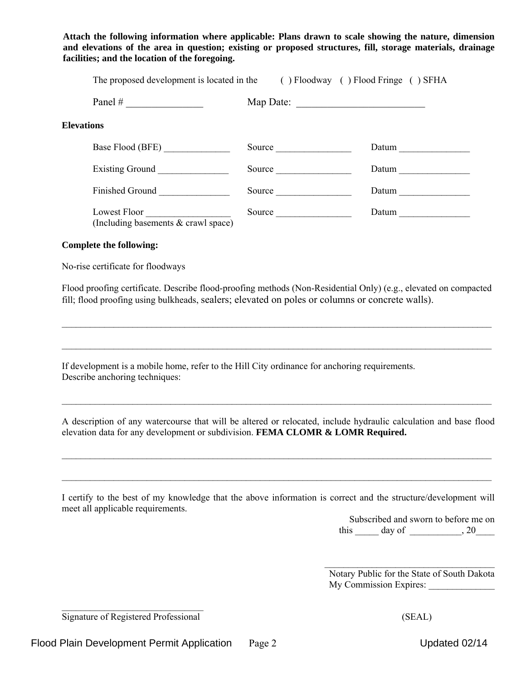(Including basements & crawl space)

#### **Complete the following:**

No-rise certificate for floodways

Flood proofing certificate. Describe flood-proofing methods (Non-Residential Only) (e.g., elevated on compacted fill; flood proofing using bulkheads, sealers; elevated on poles or columns or concrete walls).

 $\_$ 

 $\mathcal{L}_\mathcal{L} = \mathcal{L}_\mathcal{L} = \mathcal{L}_\mathcal{L} = \mathcal{L}_\mathcal{L} = \mathcal{L}_\mathcal{L} = \mathcal{L}_\mathcal{L} = \mathcal{L}_\mathcal{L} = \mathcal{L}_\mathcal{L} = \mathcal{L}_\mathcal{L} = \mathcal{L}_\mathcal{L} = \mathcal{L}_\mathcal{L} = \mathcal{L}_\mathcal{L} = \mathcal{L}_\mathcal{L} = \mathcal{L}_\mathcal{L} = \mathcal{L}_\mathcal{L} = \mathcal{L}_\mathcal{L} = \mathcal{L}_\mathcal{L}$ 

If development is a mobile home, refer to the Hill City ordinance for anchoring requirements. Describe anchoring techniques:

A description of any watercourse that will be altered or relocated, include hydraulic calculation and base flood elevation data for any development or subdivision. **FEMA CLOMR & LOMR Required.**

 $\mathcal{L}_\mathcal{L} = \mathcal{L}_\mathcal{L} = \mathcal{L}_\mathcal{L} = \mathcal{L}_\mathcal{L} = \mathcal{L}_\mathcal{L} = \mathcal{L}_\mathcal{L} = \mathcal{L}_\mathcal{L} = \mathcal{L}_\mathcal{L} = \mathcal{L}_\mathcal{L} = \mathcal{L}_\mathcal{L} = \mathcal{L}_\mathcal{L} = \mathcal{L}_\mathcal{L} = \mathcal{L}_\mathcal{L} = \mathcal{L}_\mathcal{L} = \mathcal{L}_\mathcal{L} = \mathcal{L}_\mathcal{L} = \mathcal{L}_\mathcal{L}$ 

 $\mathcal{L}_\mathcal{L} = \mathcal{L}_\mathcal{L} = \mathcal{L}_\mathcal{L} = \mathcal{L}_\mathcal{L} = \mathcal{L}_\mathcal{L} = \mathcal{L}_\mathcal{L} = \mathcal{L}_\mathcal{L} = \mathcal{L}_\mathcal{L} = \mathcal{L}_\mathcal{L} = \mathcal{L}_\mathcal{L} = \mathcal{L}_\mathcal{L} = \mathcal{L}_\mathcal{L} = \mathcal{L}_\mathcal{L} = \mathcal{L}_\mathcal{L} = \mathcal{L}_\mathcal{L} = \mathcal{L}_\mathcal{L} = \mathcal{L}_\mathcal{L}$ 

 $\mathcal{L}_\mathcal{L} = \mathcal{L}_\mathcal{L} = \mathcal{L}_\mathcal{L} = \mathcal{L}_\mathcal{L} = \mathcal{L}_\mathcal{L} = \mathcal{L}_\mathcal{L} = \mathcal{L}_\mathcal{L} = \mathcal{L}_\mathcal{L} = \mathcal{L}_\mathcal{L} = \mathcal{L}_\mathcal{L} = \mathcal{L}_\mathcal{L} = \mathcal{L}_\mathcal{L} = \mathcal{L}_\mathcal{L} = \mathcal{L}_\mathcal{L} = \mathcal{L}_\mathcal{L} = \mathcal{L}_\mathcal{L} = \mathcal{L}_\mathcal{L}$ 

I certify to the best of my knowledge that the above information is correct and the structure/development will meet all applicable requirements.

> Subscribed and sworn to before me on this  $\qquad \qquad$  day of  $\qquad \qquad$ , 20

 $\mathcal{L}_\text{max}$  , where  $\mathcal{L}_\text{max}$  and  $\mathcal{L}_\text{max}$ Notary Public for the State of South Dakota My Commission Expires:

 $\mathcal{L}_\text{max}$ Signature of Registered Professional (SEAL)

### **Attach the following information where applicable: Plans drawn to scale showing the nature, dimension and elevations of the area in question; existing or proposed structures, fill, storage materials, drainage facilities; and the location of the foregoing.**

|                   |        | The proposed development is located in the ( ) Floodway ( ) Flood Fringe ( ) SFHA |
|-------------------|--------|-----------------------------------------------------------------------------------|
|                   |        | Map Date:                                                                         |
| <b>Elevations</b> |        |                                                                                   |
| Base Flood (BFE)  |        | Datum                                                                             |
| Existing Ground   | Source | Datum                                                                             |
| Finished Ground   | Source | Datum                                                                             |
| Lowest Floor      | Source | Datum                                                                             |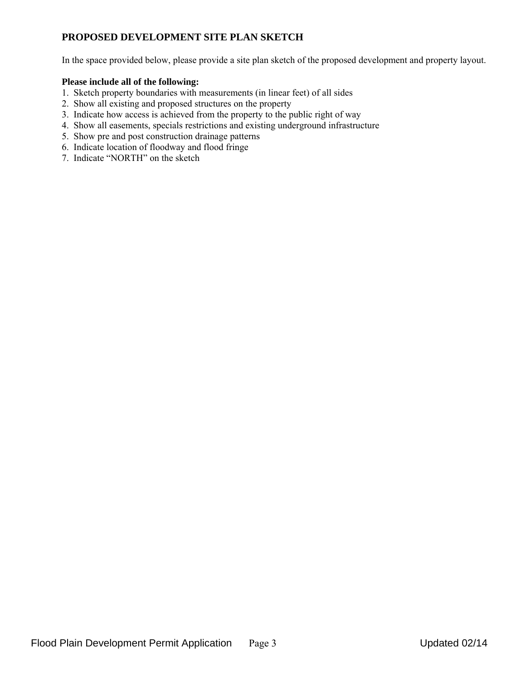## **PROPOSED DEVELOPMENT SITE PLAN SKETCH**

In the space provided below, please provide a site plan sketch of the proposed development and property layout.

### **Please include all of the following:**

- 1. Sketch property boundaries with measurements (in linear feet) of all sides
- 2. Show all existing and proposed structures on the property
- 3. Indicate how access is achieved from the property to the public right of way
- 4. Show all easements, specials restrictions and existing underground infrastructure
- 5. Show pre and post construction drainage patterns
- 6. Indicate location of floodway and flood fringe
- 7. Indicate "NORTH" on the sketch